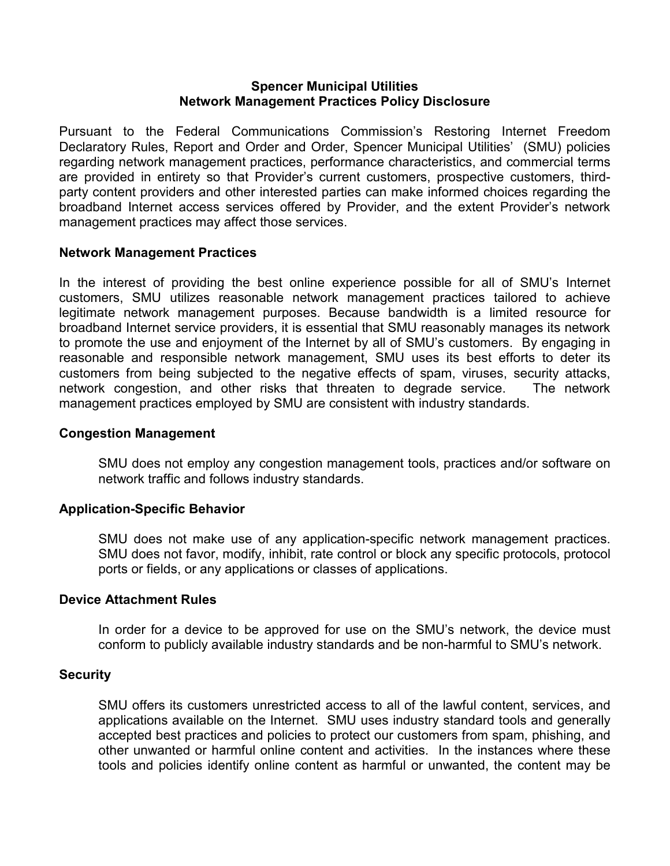#### **Spencer Municipal Utilities Network Management Practices Policy Disclosure**

Pursuant to the Federal Communications Commission's Restoring Internet Freedom Declaratory Rules, Report and Order and Order, Spencer Municipal Utilities' (SMU) policies regarding network management practices, performance characteristics, and commercial terms are provided in entirety so that Provider's current customers, prospective customers, thirdparty content providers and other interested parties can make informed choices regarding the broadband Internet access services offered by Provider, and the extent Provider's network management practices may affect those services.

### **Network Management Practices**

In the interest of providing the best online experience possible for all of SMU's Internet customers, SMU utilizes reasonable network management practices tailored to achieve legitimate network management purposes. Because bandwidth is a limited resource for broadband Internet service providers, it is essential that SMU reasonably manages its network to promote the use and enjoyment of the Internet by all of SMU's customers. By engaging in reasonable and responsible network management, SMU uses its best efforts to deter its customers from being subjected to the negative effects of spam, viruses, security attacks, network congestion, and other risks that threaten to degrade service. The network management practices employed by SMU are consistent with industry standards.

### **Congestion Management**

SMU does not employ any congestion management tools, practices and/or software on network traffic and follows industry standards.

# **Application-Specific Behavior**

SMU does not make use of any application-specific network management practices. SMU does not favor, modify, inhibit, rate control or block any specific protocols, protocol ports or fields, or any applications or classes of applications.

### **Device Attachment Rules**

In order for a device to be approved for use on the SMU's network, the device must conform to publicly available industry standards and be non-harmful to SMU's network.

### **Security**

SMU offers its customers unrestricted access to all of the lawful content, services, and applications available on the Internet. SMU uses industry standard tools and generally accepted best practices and policies to protect our customers from spam, phishing, and other unwanted or harmful online content and activities. In the instances where these tools and policies identify online content as harmful or unwanted, the content may be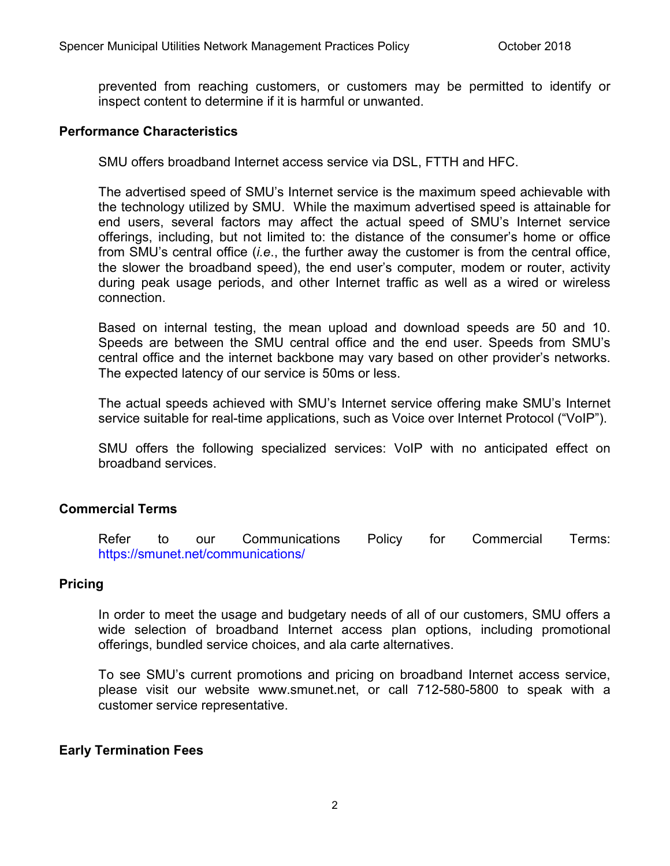prevented from reaching customers, or customers may be permitted to identify or inspect content to determine if it is harmful or unwanted.

### **Performance Characteristics**

SMU offers broadband Internet access service via DSL, FTTH and HFC.

The advertised speed of SMU's Internet service is the maximum speed achievable with the technology utilized by SMU. While the maximum advertised speed is attainable for end users, several factors may affect the actual speed of SMU's Internet service offerings, including, but not limited to: the distance of the consumer's home or office from SMU's central office (*i.e*., the further away the customer is from the central office, the slower the broadband speed), the end user's computer, modem or router, activity during peak usage periods, and other Internet traffic as well as a wired or wireless connection.

Based on internal testing, the mean upload and download speeds are 50 and 10. Speeds are between the SMU central office and the end user. Speeds from SMU's central office and the internet backbone may vary based on other provider's networks. The expected latency of our service is 50ms or less.

The actual speeds achieved with SMU's Internet service offering make SMU's Internet service suitable for real-time applications, such as Voice over Internet Protocol ("VoIP").

SMU offers the following specialized services: VoIP with no anticipated effect on broadband services.

# **Commercial Terms**

Refer to our Communications Policy for Commercial Terms: <https://smunet.net/communications/>

# **Pricing**

In order to meet the usage and budgetary needs of all of our customers, SMU offers a wide selection of broadband Internet access plan options, including promotional offerings, bundled service choices, and ala carte alternatives.

To see SMU's current promotions and pricing on broadband Internet access service, please visit our website www.smunet.net, or call 712-580-5800 to speak with a customer service representative.

### **Early Termination Fees**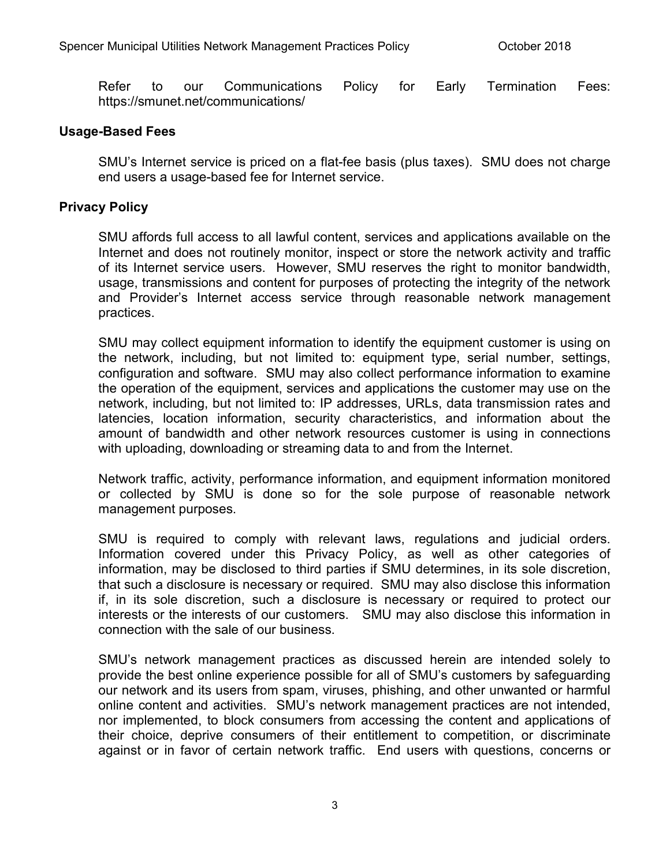Refer to our Communications Policy for Early Termination Fees: https://smunet.net/communications/

### **Usage-Based Fees**

SMU's Internet service is priced on a flat-fee basis (plus taxes). SMU does not charge end users a usage-based fee for Internet service.

### **Privacy Policy**

SMU affords full access to all lawful content, services and applications available on the Internet and does not routinely monitor, inspect or store the network activity and traffic of its Internet service users. However, SMU reserves the right to monitor bandwidth, usage, transmissions and content for purposes of protecting the integrity of the network and Provider's Internet access service through reasonable network management practices.

SMU may collect equipment information to identify the equipment customer is using on the network, including, but not limited to: equipment type, serial number, settings, configuration and software. SMU may also collect performance information to examine the operation of the equipment, services and applications the customer may use on the network, including, but not limited to: IP addresses, URLs, data transmission rates and latencies, location information, security characteristics, and information about the amount of bandwidth and other network resources customer is using in connections with uploading, downloading or streaming data to and from the Internet.

Network traffic, activity, performance information, and equipment information monitored or collected by SMU is done so for the sole purpose of reasonable network management purposes.

SMU is required to comply with relevant laws, regulations and judicial orders. Information covered under this Privacy Policy, as well as other categories of information, may be disclosed to third parties if SMU determines, in its sole discretion, that such a disclosure is necessary or required. SMU may also disclose this information if, in its sole discretion, such a disclosure is necessary or required to protect our interests or the interests of our customers. SMU may also disclose this information in connection with the sale of our business.

SMU's network management practices as discussed herein are intended solely to provide the best online experience possible for all of SMU's customers by safeguarding our network and its users from spam, viruses, phishing, and other unwanted or harmful online content and activities. SMU's network management practices are not intended, nor implemented, to block consumers from accessing the content and applications of their choice, deprive consumers of their entitlement to competition, or discriminate against or in favor of certain network traffic. End users with questions, concerns or